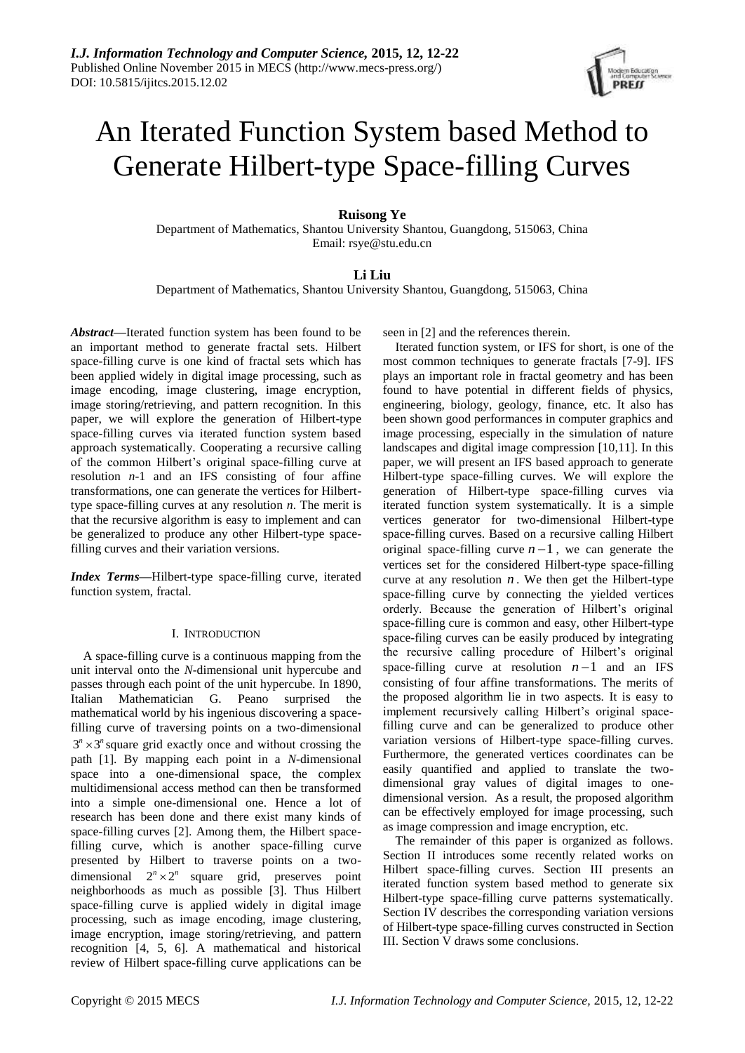

# An Iterated Function System based Method to Generate Hilbert-type Space-filling Curves

# **Ruisong Ye**

Department of Mathematics, Shantou University Shantou, Guangdong, 515063, China Email: rsye@stu.edu.cn

## **Li Liu**

Department of Mathematics, Shantou University Shantou, Guangdong, 515063, China

*Abstract***—**Iterated function system has been found to be an important method to generate fractal sets. Hilbert space-filling curve is one kind of fractal sets which has been applied widely in digital image processing, such as image encoding, image clustering, image encryption, image storing/retrieving, and pattern recognition. In this paper, we will explore the generation of Hilbert-type space-filling curves via iterated function system based approach systematically. Cooperating a recursive calling of the common Hilbert's original space-filling curve at resolution *n*-1 and an IFS consisting of four affine transformations, one can generate the vertices for Hilberttype space-filling curves at any resolution *n*. The merit is that the recursive algorithm is easy to implement and can be generalized to produce any other Hilbert-type spacefilling curves and their variation versions.

*Index Terms***—**Hilbert-type space-filling curve, iterated function system, fractal.

## I. INTRODUCTION

A space-filling curve is a continuous mapping from the unit interval onto the *N*-dimensional unit hypercube and passes through each point of the unit hypercube. In 1890, Italian Mathematician G. Peano surprised the mathematical world by his ingenious discovering a spacefilling curve of traversing points on a two-dimensional  $3<sup>n</sup> \times 3<sup>n</sup>$  square grid exactly once and without crossing the path [1]. By mapping each point in a *N*-dimensional space into a one-dimensional space, the complex multidimensional access method can then be transformed into a simple one-dimensional one. Hence a lot of research has been done and there exist many kinds of space-filling curves [2]. Among them, the Hilbert spacefilling curve, which is another space-filling curve presented by Hilbert to traverse points on a twodimensional  $2^n \times 2^n$  square grid, preserves point neighborhoods as much as possible [3]. Thus Hilbert space-filling curve is applied widely in digital image processing, such as image encoding, image clustering, image encryption, image storing/retrieving, and pattern recognition [4, 5, 6]. A mathematical and historical review of Hilbert space-filling curve applications can be

seen in [2] and the references therein.

Iterated function system, or IFS for short, is one of the most common techniques to generate fractals [7-9]. IFS plays an important role in fractal geometry and has been found to have potential in different fields of physics, engineering, biology, geology, finance, etc. It also has been shown good performances in computer graphics and image processing, especially in the simulation of nature landscapes and digital image compression [10,11]. In this paper, we will present an IFS based approach to generate Hilbert-type space-filling curves. We will explore the generation of Hilbert-type space-filling curves via iterated function system systematically. It is a simple vertices generator for two-dimensional Hilbert-type space-filling curves. Based on a recursive calling Hilbert original space-filling curve  $n-1$ , we can generate the vertices set for the considered Hilbert-type space-filling curve at any resolution  $n$ . We then get the Hilbert-type space-filling curve by connecting the yielded vertices orderly. Because the generation of Hilbert's original space-filling cure is common and easy, other Hilbert-type space-filing curves can be easily produced by integrating the recursive calling procedure of Hilbert's original space-filling curve at resolution  $n-1$  and an IFS consisting of four affine transformations. The merits of the proposed algorithm lie in two aspects. It is easy to implement recursively calling Hilbert's original spacefilling curve and can be generalized to produce other variation versions of Hilbert-type space-filling curves. Furthermore, the generated vertices coordinates can be easily quantified and applied to translate the twodimensional gray values of digital images to onedimensional version. As a result, the proposed algorithm can be effectively employed for image processing, such as image compression and image encryption, etc.

The remainder of this paper is organized as follows. Section II introduces some recently related works on Hilbert space-filling curves. Section III presents an iterated function system based method to generate six Hilbert-type space-filling curve patterns systematically. Section IV describes the corresponding variation versions of Hilbert-type space-filling curves constructed in Section III. Section V draws some conclusions.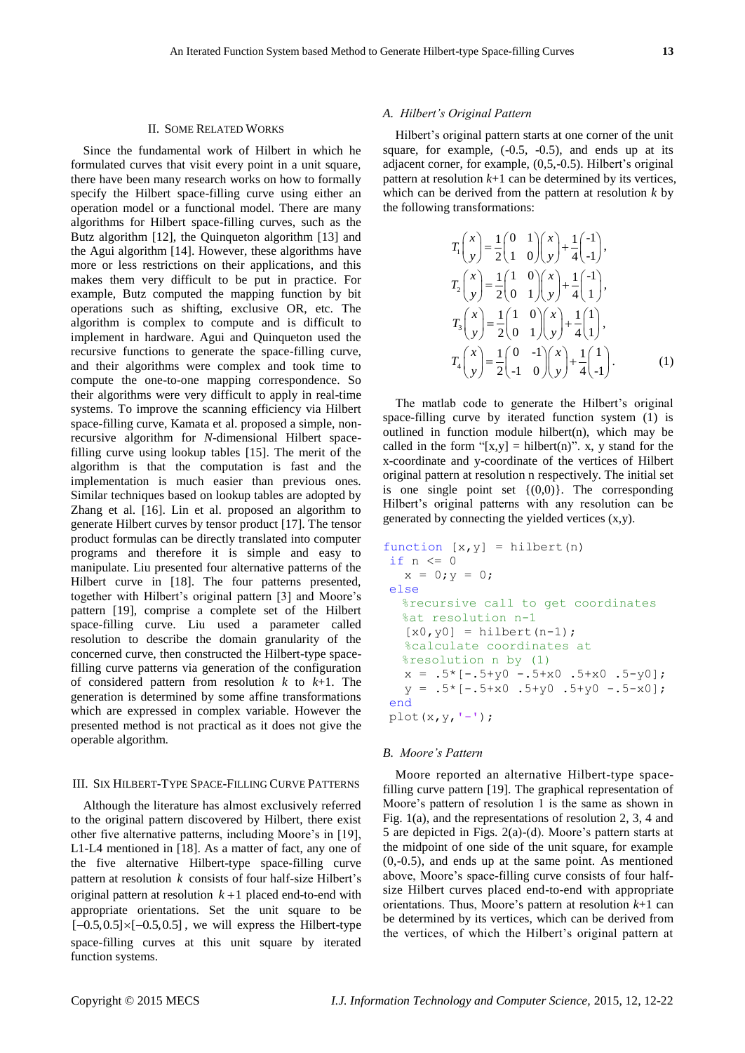#### II. SOME RELATED WORKS

Since the fundamental work of Hilbert in which he formulated curves that visit every point in a unit square, there have been many research works on how to formally specify the Hilbert space-filling curve using either an operation model or a functional model. There are many algorithms for Hilbert space-filling curves, such as the Butz algorithm [12], the Quinqueton algorithm [13] and the Agui algorithm [14]. However, these algorithms have more or less restrictions on their applications, and this makes them very difficult to be put in practice. For example, Butz computed the mapping function by bit operations such as shifting, exclusive OR, etc. The algorithm is complex to compute and is difficult to implement in hardware. Agui and Quinqueton used the recursive functions to generate the space-filling curve, and their algorithms were complex and took time to compute the one-to-one mapping correspondence. So their algorithms were very difficult to apply in real-time systems. To improve the scanning efficiency via Hilbert space-filling curve, Kamata et al. proposed a simple, nonrecursive algorithm for *N*-dimensional Hilbert spacefilling curve using lookup tables [15]. The merit of the algorithm is that the computation is fast and the implementation is much easier than previous ones. Similar techniques based on lookup tables are adopted by Zhang et al. [16]. Lin et al. proposed an algorithm to generate Hilbert curves by tensor product [17]. The tensor product formulas can be directly translated into computer programs and therefore it is simple and easy to manipulate. Liu presented four alternative patterns of the Hilbert curve in [18]. The four patterns presented, together with Hilbert's original pattern [3] and Moore's pattern [19], comprise a complete set of the Hilbert space-filling curve. Liu used a parameter called resolution to describe the domain granularity of the concerned curve, then constructed the Hilbert-type spacefilling curve patterns via generation of the configuration of considered pattern from resolution *k* to *k*+1. The generation is determined by some affine transformations which are expressed in complex variable. However the presented method is not practical as it does not give the operable algorithm.

## III. SIX HILBERT-TYPE SPACE-FILLING CURVE PATTERNS

Although the literature has almost exclusively referred to the original pattern discovered by Hilbert, there exist other five alternative patterns, including Moore's in [19], L1-L4 mentioned in [18]. As a matter of fact, any one of the five alternative Hilbert-type space-filling curve pattern at resolution *k* consists of four half-size Hilbert's original pattern at resolution  $k+1$  placed end-to-end with appropriate orientations. Set the unit square to be  $[-0.5, 0.5] \times [-0.5, 0.5]$ , we will express the Hilbert-type space-filling curves at this unit square by iterated function systems.

## *A. Hilbert's Original Pattern*

Hilbert's original pattern starts at one corner of the unit square, for example,  $(-0.5, -0.5)$ , and ends up at its adjacent corner, for example, (0,5,-0.5). Hilbert's original pattern at resolution  $k+1$  can be determined by its vertices, which can be derived from the pattern at resolution *k* by the following transformations:

$$
T_1\binom{x}{y} = \frac{1}{2}\binom{0}{1} \binom{x}{y} + \frac{1}{4}\binom{-1}{-1},
$$
  
\n
$$
T_2\binom{x}{y} = \frac{1}{2}\binom{1}{0} \binom{x}{y} + \frac{1}{4}\binom{-1}{1},
$$
  
\n
$$
T_3\binom{x}{y} = \frac{1}{2}\binom{1}{0} \binom{x}{y} + \frac{1}{4}\binom{1}{1},
$$
  
\n
$$
T_4\binom{x}{y} = \frac{1}{2}\binom{0}{-1} \binom{x}{y} + \frac{1}{4}\binom{1}{-1},
$$
  
\n(1)

The matlab code to generate the Hilbert's original space-filling curve by iterated function system (1) is outlined in function module hilbert $(n)$ , which may be called in the form "[x,y] = hilbert(n)". x, y stand for the x-coordinate and y-coordinate of the vertices of Hilbert original pattern at resolution n respectively. The initial set is one single point set  ${(0,0)}$ . The corresponding Hilbert's original patterns with any resolution can be generated by connecting the yielded vertices (x,y).

```
function [x, y] = hilbert(n)if n \leq 0x = 0; y = 0;else
  %recursive call to get coordinates 
  %at resolution n-1
   [x0, y0] = hilbert(n-1); %calculate coordinates at 
  %resolution n by (1) 
  x = .5*(-.5+y0-.5+x0.5+x0.5+y0;y = .5 * [-.5 + x0 .5 + y0 .5 + y0 .5 + y0 - .5 - x0];end
plot(x,y,'-');
```
#### *B. Moore's Pattern*

Moore reported an alternative Hilbert-type spacefilling curve pattern [19]. The graphical representation of Moore's pattern of resolution 1 is the same as shown in Fig. 1(a), and the representations of resolution 2, 3, 4 and 5 are depicted in Figs. 2(a)-(d). Moore's pattern starts at the midpoint of one side of the unit square, for example (0,-0.5), and ends up at the same point. As mentioned above, Moore's space-filling curve consists of four halfsize Hilbert curves placed end-to-end with appropriate orientations. Thus, Moore's pattern at resolution *k*+1 can be determined by its vertices, which can be derived from the vertices, of which the Hilbert's original pattern at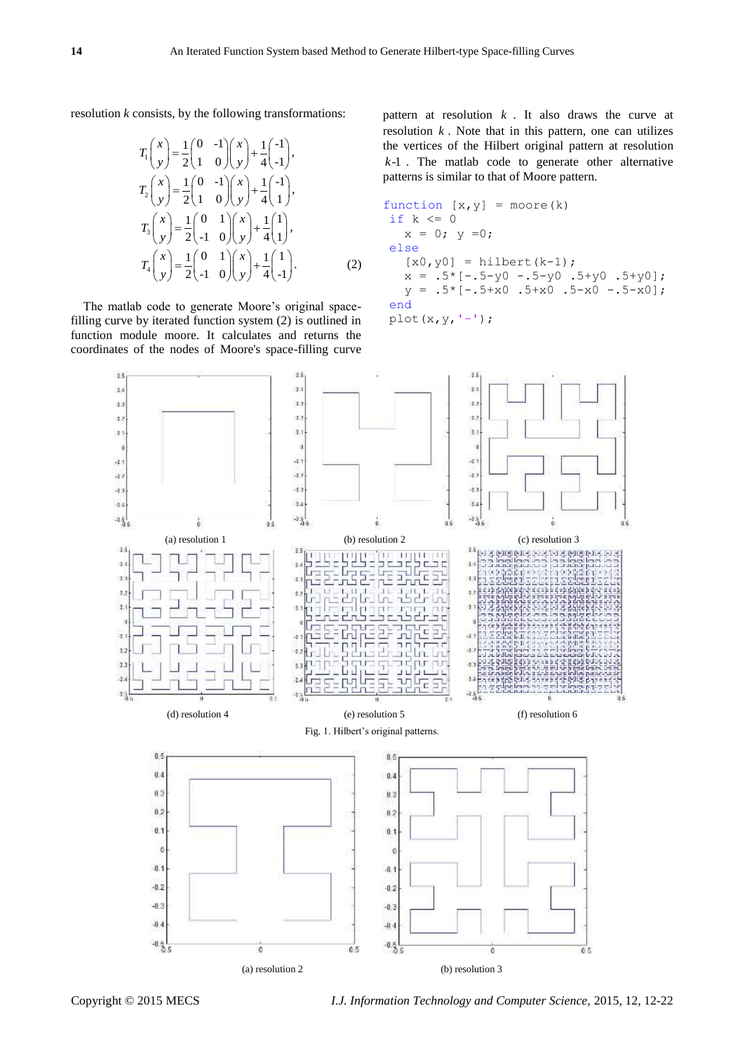resolution *k* consists, by the following transformations:

$$
T_1\binom{x}{y} = \frac{1}{2}\binom{0}{1} - \frac{1}{2}\binom{x}{y} + \frac{1}{4}\binom{-1}{-1},
$$
  
\n
$$
T_2\binom{x}{y} = \frac{1}{2}\binom{0}{1} - \frac{1}{2}\binom{x}{y} + \frac{1}{4}\binom{-1}{1},
$$
  
\n
$$
T_3\binom{x}{y} = \frac{1}{2}\binom{0}{-1} - \frac{1}{2}\binom{x}{y} + \frac{1}{4}\binom{1}{1},
$$
  
\n
$$
T_4\binom{x}{y} = \frac{1}{2}\binom{0}{-1} - \frac{1}{2}\binom{x}{y} + \frac{1}{4}\binom{1}{-1}.
$$
 (2)

The matlab code to generate Moore's original spacefilling curve by iterated function system (2) is outlined in function module moore. It calculates and returns the coordinates of the nodes of Moore's space-filling curve

pattern at resolution  $k$ . It also draws the curve at resolution  $k$ . Note that in this pattern, one can utilizes the vertices of the Hilbert original pattern at resolution *k*-1 . The matlab code to generate other alternative patterns is similar to that of Moore pattern.

function [x,y] = moore(k) if k <= 0 x = 0; y =0; else [x0,y0] = hilbert(k-1); x = .5\*[-.5-y0 -.5-y0 .5+y0 .5+y0]; y = .5\*[-.5+x0 .5+x0 .5-x0 -.5-x0]; end plot(x,y,'-');



Copyright © 2015 MECS *I.J. Information Technology and Computer Science,* 2015, 12, 12-22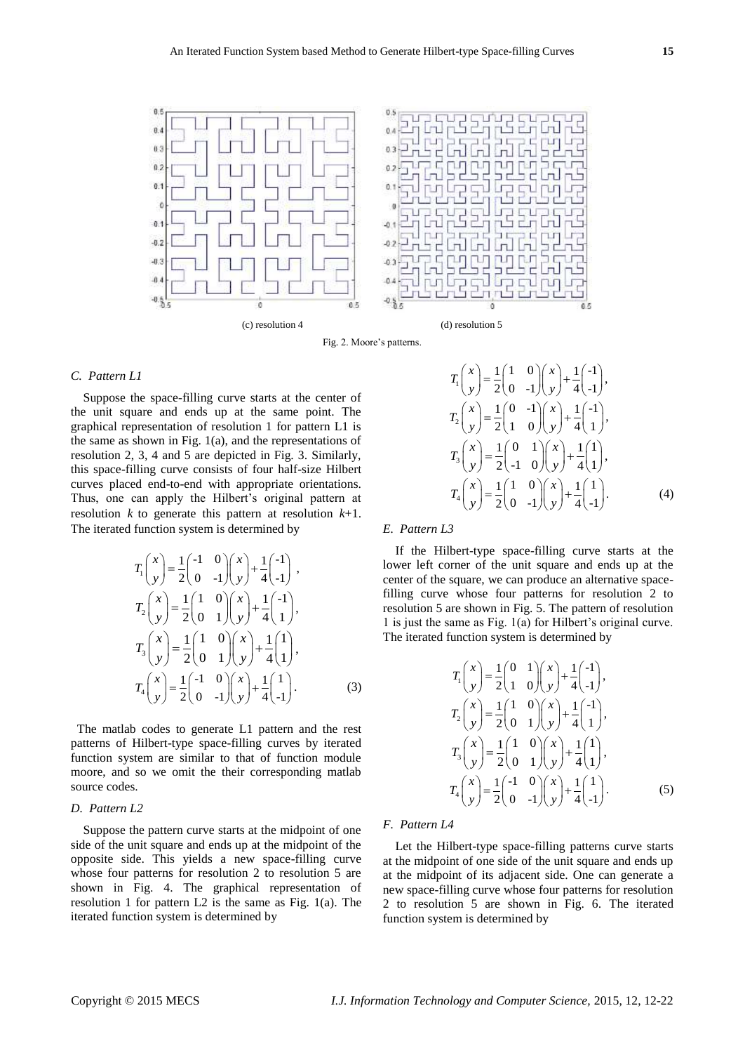

Fig. 2. Moore's patterns.

## *C. Pattern L1*

Suppose the space-filling curve starts at the center of the unit square and ends up at the same point. The graphical representation of resolution 1 for pattern L1 is the same as shown in Fig. 1(a), and the representations of resolution 2, 3, 4 and 5 are depicted in Fig. 3. Similarly, this space-filling curve consists of four half-size Hilbert curves placed end-to-end with appropriate orientations. Thus, one can apply the Hilbert's original pattern at resolution *k* to generate this pattern at resolution *k*+1. The iterated function system is determined by

$$
T_{1}\begin{pmatrix} x \\ y \end{pmatrix} = \frac{1}{2}\begin{pmatrix} -1 & 0 \\ 0 & -1 \end{pmatrix} \begin{pmatrix} x \\ y \end{pmatrix} + \frac{1}{4}\begin{pmatrix} -1 \\ -1 \end{pmatrix},
$$
  
\n
$$
T_{2}\begin{pmatrix} x \\ y \end{pmatrix} = \frac{1}{2}\begin{pmatrix} 1 & 0 \\ 0 & 1 \end{pmatrix} \begin{pmatrix} x \\ y \end{pmatrix} + \frac{1}{4}\begin{pmatrix} -1 \\ 1 \end{pmatrix},
$$
  
\n
$$
T_{3}\begin{pmatrix} x \\ y \end{pmatrix} = \frac{1}{2}\begin{pmatrix} 1 & 0 \\ 0 & 1 \end{pmatrix} \begin{pmatrix} x \\ y \end{pmatrix} + \frac{1}{4}\begin{pmatrix} 1 \\ 1 \end{pmatrix},
$$
  
\n
$$
T_{4}\begin{pmatrix} x \\ y \end{pmatrix} = \frac{1}{2}\begin{pmatrix} -1 & 0 \\ 0 & -1 \end{pmatrix} \begin{pmatrix} x \\ y \end{pmatrix} + \frac{1}{4}\begin{pmatrix} 1 \\ -1 \end{pmatrix}.
$$
 (3)

The matlab codes to generate L1 pattern and the rest patterns of Hilbert-type space-filling curves by iterated function system are similar to that of function module moore, and so we omit the their corresponding matlab source codes.

## *D. Pattern L2*

Suppose the pattern curve starts at the midpoint of one side of the unit square and ends up at the midpoint of the opposite side. This yields a new space-filling curve whose four patterns for resolution 2 to resolution 5 are shown in Fig. 4. The graphical representation of resolution 1 for pattern L2 is the same as Fig. 1(a). The iterated function system is determined by

#### $T_1\left(\begin{array}{c} x \\ y \end{array}\right) = \frac{1}{2} \left(\begin{array}{cc} 1 & 0 \\ 0 & 1 \end{array}\right) \left(\begin{array}{c} x \\ y \end{array}\right) + \frac{1}{4} \left(\begin{array}{c} -1 \\ 1 \end{array}\right)$  $\frac{1}{2}$  |  $\left[0 \right]$  -1  $\left| \right|$   $\sqrt{1 + \frac{1}{4}}$   $\left|0\right|$  $T_1\binom{x}{y} = \frac{1}{2}\binom{1}{0} \binom{x}{y} + \frac{1}{4}\binom{-1}{-1},$  $\frac{1}{2} \begin{pmatrix} x \\ y \end{pmatrix} = \frac{1}{2} \begin{pmatrix} 0 & -1 \\ 1 & 0 \end{pmatrix} \begin{pmatrix} x \\ y \end{pmatrix} + \frac{1}{4} \begin{pmatrix} -1 \\ 1 \end{pmatrix}$  $\frac{1}{2} \begin{pmatrix} 1 & 0 \end{pmatrix} \begin{pmatrix} y \\ y \end{pmatrix} + \frac{1}{4} \begin{pmatrix} 1 \end{pmatrix}$  $T_2\binom{x}{y} = \frac{1}{2}\binom{0}{1}\binom{0}{y} + \frac{1}{4}\binom{-1}{1},$  $\begin{bmatrix} x \\ 3 \end{bmatrix} = \frac{1}{2} \begin{bmatrix} 0 & 1 \\ 1 & 0 \end{bmatrix} \begin{bmatrix} x \\ x \end{bmatrix} + \frac{1}{4} \begin{bmatrix} 1 \\ 1 \end{bmatrix}$  $\frac{1}{2} \begin{pmatrix} 1 & 0 \end{pmatrix} \begin{pmatrix} y \\ y \end{pmatrix} + \frac{1}{4} \begin{pmatrix} 1 \\ 1 \end{pmatrix}$  $T_3\binom{x}{y} = \frac{1}{2}\binom{0}{-1}\binom{x}{y} + \frac{1}{4}\binom{1}{1},$ ,  $\binom{x}{4} = \frac{1}{2} \binom{1}{0} \binom{x}{1} + \frac{1}{4} \binom{1}{1}$  $\frac{1}{2} \begin{pmatrix} 0 & -1 \end{pmatrix} \begin{pmatrix} y \\ y \end{pmatrix} + \frac{1}{4} \begin{pmatrix} 1 \\ -1 \end{pmatrix}$  $T_4\binom{x}{y} = \frac{1}{2}\binom{1}{0} \binom{0}{y} + \frac{1}{4}\binom{1}{-1}.$  $(4)$

## *E. Pattern L3*

If the Hilbert-type space-filling curve starts at the lower left corner of the unit square and ends up at the center of the square, we can produce an alternative spacefilling curve whose four patterns for resolution 2 to resolution 5 are shown in Fig. 5. The pattern of resolution 1 is just the same as Fig. 1(a) for Hilbert's original curve. The iterated function system is determined by

$$
T_{1}\begin{pmatrix} x \\ y \end{pmatrix} = \frac{1}{2} \begin{pmatrix} 0 & 1 \\ 1 & 0 \end{pmatrix} \begin{pmatrix} x \\ y \end{pmatrix} + \frac{1}{4} \begin{pmatrix} -1 \\ -1 \end{pmatrix},
$$
  
\n
$$
T_{2}\begin{pmatrix} x \\ y \end{pmatrix} = \frac{1}{2} \begin{pmatrix} 1 & 0 \\ 0 & 1 \end{pmatrix} \begin{pmatrix} x \\ y \end{pmatrix} + \frac{1}{4} \begin{pmatrix} -1 \\ 1 \end{pmatrix},
$$
  
\n
$$
T_{3}\begin{pmatrix} x \\ y \end{pmatrix} = \frac{1}{2} \begin{pmatrix} 1 & 0 \\ 0 & 1 \end{pmatrix} \begin{pmatrix} x \\ y \end{pmatrix} + \frac{1}{4} \begin{pmatrix} 1 \\ 1 \end{pmatrix},
$$
  
\n
$$
T_{4}\begin{pmatrix} x \\ y \end{pmatrix} = \frac{1}{2} \begin{pmatrix} -1 & 0 \\ 0 & -1 \end{pmatrix} \begin{pmatrix} x \\ y \end{pmatrix} + \frac{1}{4} \begin{pmatrix} 1 \\ -1 \end{pmatrix}.
$$
 (5)

## *F. Pattern L4*

Let the Hilbert-type space-filling patterns curve starts at the midpoint of one side of the unit square and ends up at the midpoint of its adjacent side. One can generate a new space-filling curve whose four patterns for resolution 2 to resolution 5 are shown in Fig. 6. The iterated function system is determined by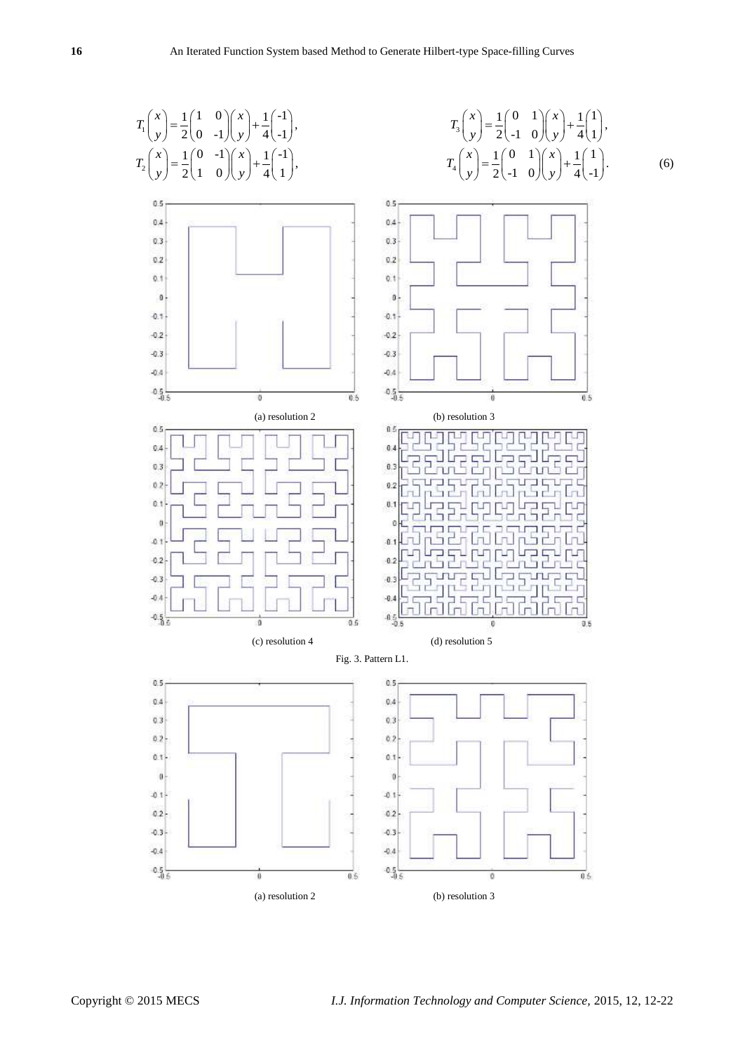. (6)

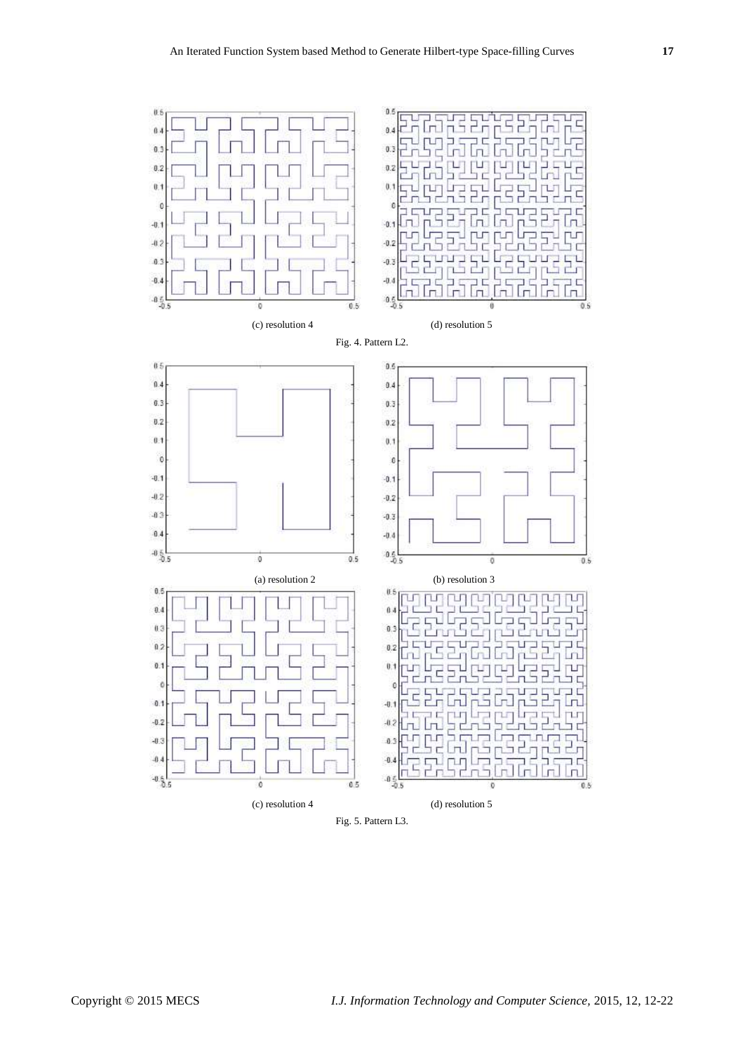

Fig. 5. Pattern L3.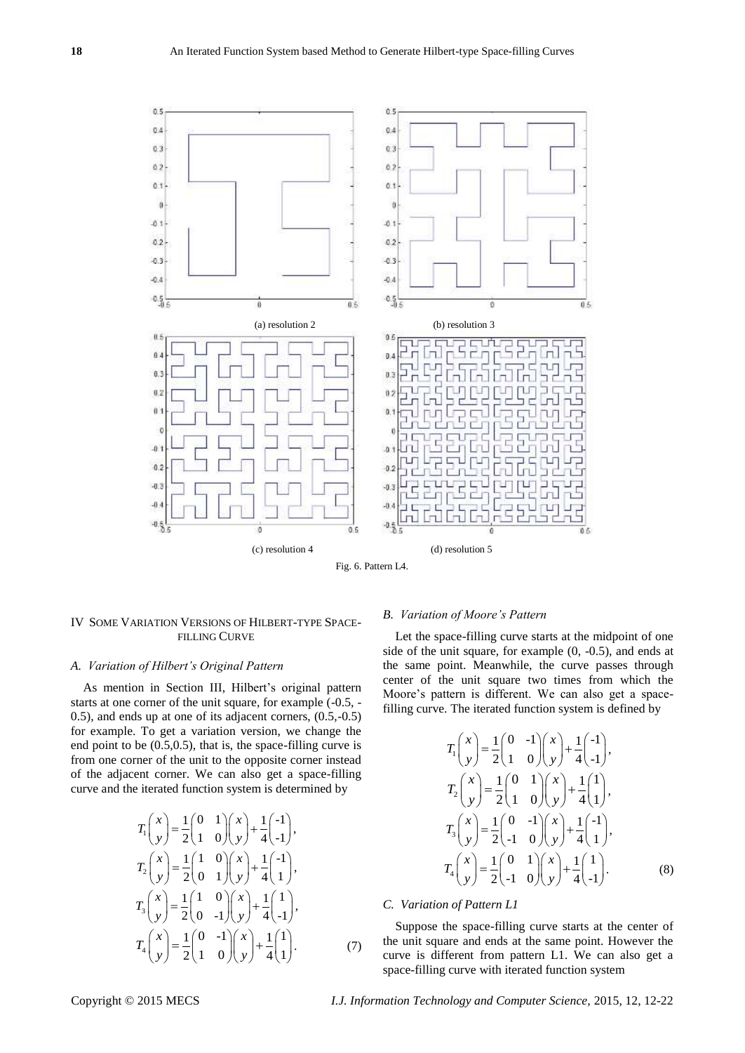

Fig. 6. Pattern L4.

## IV SOME VARIATION VERSIONS OF HILBERT-TYPE SPACE-FILLING CURVE

## *A. Variation of Hilbert's Original Pattern*

As mention in Section III, Hilbert's original pattern starts at one corner of the unit square, for example (-0.5, - 0.5), and ends up at one of its adjacent corners, (0.5,-0.5) for example. To get a variation version, we change the end point to be (0.5,0.5), that is, the space-filling curve is from one corner of the unit to the opposite corner instead of the adjacent corner. We can also get a space-filling curve and the iterated function system is determined by

$$
T_1\begin{pmatrix} x \\ y \end{pmatrix} = \frac{1}{2} \begin{pmatrix} 0 & 1 \\ 1 & 0 \end{pmatrix} \begin{pmatrix} x \\ y \end{pmatrix} + \frac{1}{4} \begin{pmatrix} -1 \\ -1 \end{pmatrix},
$$
  
\n
$$
T_2\begin{pmatrix} x \\ y \end{pmatrix} = \frac{1}{2} \begin{pmatrix} 1 & 0 \\ 0 & 1 \end{pmatrix} \begin{pmatrix} x \\ y \end{pmatrix} + \frac{1}{4} \begin{pmatrix} -1 \\ 1 \end{pmatrix},
$$
  
\n
$$
T_3\begin{pmatrix} x \\ y \end{pmatrix} = \frac{1}{2} \begin{pmatrix} 1 & 0 \\ 0 & -1 \end{pmatrix} \begin{pmatrix} x \\ y \end{pmatrix} + \frac{1}{4} \begin{pmatrix} 1 \\ -1 \end{pmatrix},
$$
  
\n
$$
T_4\begin{pmatrix} x \\ y \end{pmatrix} = \frac{1}{2} \begin{pmatrix} 0 & -1 \\ 1 & 0 \end{pmatrix} \begin{pmatrix} x \\ y \end{pmatrix} + \frac{1}{4} \begin{pmatrix} 1 \\ 1 \end{pmatrix}.
$$
 (7)

#### *B. Variation of Moore's Pattern*

Let the space-filling curve starts at the midpoint of one side of the unit square, for example (0, -0.5), and ends at the same point. Meanwhile, the curve passes through center of the unit square two times from which the Moore's pattern is different. We can also get a spacefilling curve. The iterated function system is defined by

$$
T_1\binom{x}{y} = \frac{1}{2}\binom{0}{1} - \frac{1}{2}\binom{x}{y} + \frac{1}{4}\binom{-1}{-1},
$$
  
\n
$$
T_2\binom{x}{y} = \frac{1}{2}\binom{0}{1} - \frac{1}{2}\binom{x}{y} + \frac{1}{4}\binom{1}{1},
$$
  
\n
$$
T_3\binom{x}{y} = \frac{1}{2}\binom{0}{-1} - \frac{1}{2}\binom{x}{y} + \frac{1}{4}\binom{-1}{1},
$$
  
\n
$$
T_4\binom{x}{y} = \frac{1}{2}\binom{0}{-1} - \frac{1}{2}\binom{x}{y} + \frac{1}{4}\binom{1}{-1}.
$$
 (8)

## *C. Variation of Pattern L1*

Suppose the space-filling curve starts at the center of the unit square and ends at the same point. However the curve is different from pattern L1. We can also get a space-filling curve with iterated function system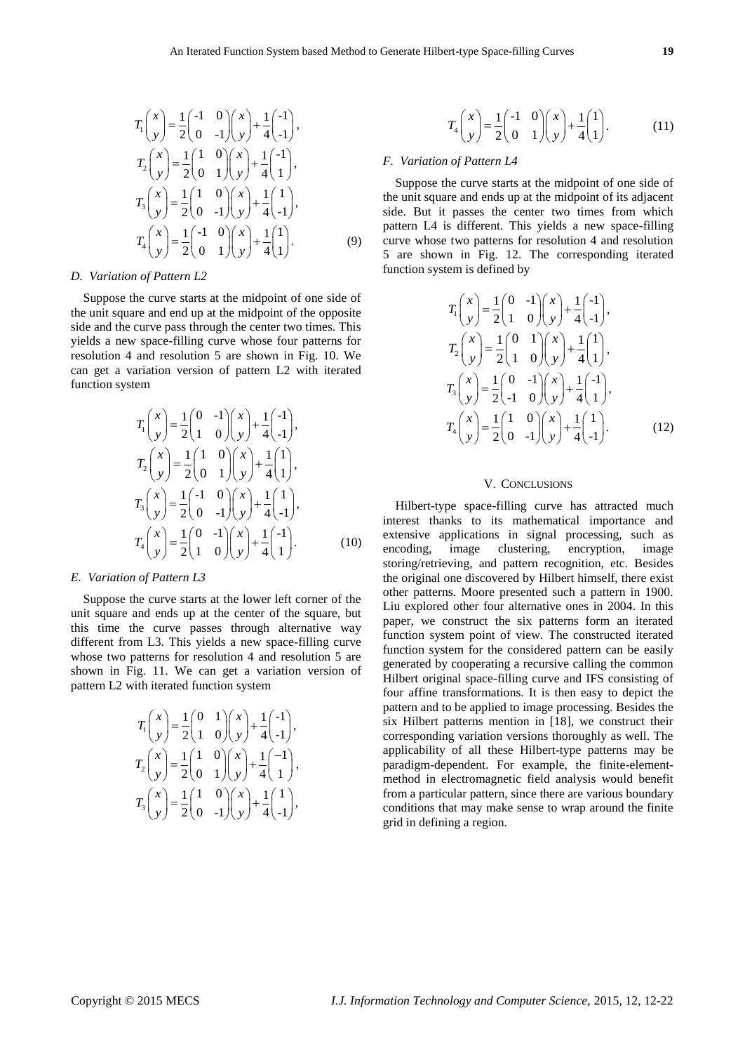$$
T_1\begin{pmatrix} x \\ y \end{pmatrix} = \frac{1}{2} \begin{pmatrix} -1 & 0 \\ 0 & -1 \end{pmatrix} \begin{pmatrix} x \\ y \end{pmatrix} + \frac{1}{4} \begin{pmatrix} -1 \\ -1 \end{pmatrix},
$$
  
\n
$$
T_2\begin{pmatrix} x \\ y \end{pmatrix} = \frac{1}{2} \begin{pmatrix} 1 & 0 \\ 0 & 1 \end{pmatrix} \begin{pmatrix} x \\ y \end{pmatrix} + \frac{1}{4} \begin{pmatrix} -1 \\ 1 \end{pmatrix},
$$
  
\n
$$
T_3\begin{pmatrix} x \\ y \end{pmatrix} = \frac{1}{2} \begin{pmatrix} 1 & 0 \\ 0 & -1 \end{pmatrix} \begin{pmatrix} x \\ y \end{pmatrix} + \frac{1}{4} \begin{pmatrix} 1 \\ -1 \end{pmatrix},
$$
  
\n
$$
T_4\begin{pmatrix} x \\ y \end{pmatrix} = \frac{1}{2} \begin{pmatrix} -1 & 0 \\ 0 & 1 \end{pmatrix} \begin{pmatrix} x \\ y \end{pmatrix} + \frac{1}{4} \begin{pmatrix} 1 \\ 1 \end{pmatrix}.
$$
 (9)

#### *D. Variation of Pattern L2*

Suppose the curve starts at the midpoint of one side of the unit square and end up at the midpoint of the opposite side and the curve pass through the center two times. This yields a new space-filling curve whose four patterns for resolution 4 and resolution 5 are shown in Fig. 10. We can get a variation version of pattern L2 with iterated function system

$$
T_1\binom{x}{y} = \frac{1}{2}\binom{0}{1} - \frac{1}{2}\binom{x}{y} + \frac{1}{4}\binom{-1}{-1},
$$
  
\n
$$
T_2\binom{x}{y} = \frac{1}{2}\binom{1}{0} - \frac{1}{2}\binom{x}{y} + \frac{1}{4}\binom{1}{1},
$$
  
\n
$$
T_3\binom{x}{y} = \frac{1}{2}\binom{-1}{0} - \frac{1}{2}\binom{x}{y} + \frac{1}{4}\binom{1}{-1},
$$
  
\n
$$
T_4\binom{x}{y} = \frac{1}{2}\binom{0}{1} - \frac{1}{2}\binom{x}{y} + \frac{1}{4}\binom{-1}{-1}.
$$
 (10)

#### *E. Variation of Pattern L3*

Suppose the curve starts at the lower left corner of the unit square and ends up at the center of the square, but this time the curve passes through alternative way different from L3. This yields a new space-filling curve whose two patterns for resolution 4 and resolution 5 are shown in Fig. 11. We can get a variation version of pattern L2 with iterated function system

$$
T_1\binom{x}{y} = \frac{1}{2}\binom{0}{1} \binom{x}{y} + \frac{1}{4}\binom{-1}{-1},
$$
  
\n
$$
T_2\binom{x}{y} = \frac{1}{2}\binom{1}{0} \binom{x}{y} + \frac{1}{4}\binom{-1}{1},
$$
  
\n
$$
T_3\binom{x}{y} = \frac{1}{2}\binom{1}{0} \binom{x}{y} + \frac{1}{4}\binom{1}{-1},
$$

$$
T_4 \binom{x}{y} = \frac{1}{2} \binom{-1}{0} \binom{x}{y} + \frac{1}{4} \binom{1}{1}.
$$
 (11)

## *F. Variation of Pattern L4*

Suppose the curve starts at the midpoint of one side of the unit square and ends up at the midpoint of its adjacent side. But it passes the center two times from which pattern L4 is different. This yields a new space-filling curve whose two patterns for resolution 4 and resolution 5 are shown in Fig. 12. The corresponding iterated function system is defined by

$$
T_1\binom{x}{y} = \frac{1}{2}\binom{0}{1} - \frac{1}{2}\binom{x}{y} + \frac{1}{4}\binom{-1}{-1},
$$
  
\n
$$
T_2\binom{x}{y} = \frac{1}{2}\binom{0}{1} - \frac{1}{2}\binom{x}{y} + \frac{1}{4}\binom{1}{1},
$$
  
\n
$$
T_3\binom{x}{y} = \frac{1}{2}\binom{0}{-1} - \frac{1}{2}\binom{x}{y} + \frac{1}{4}\binom{-1}{1},
$$
  
\n
$$
T_4\binom{x}{y} = \frac{1}{2}\binom{1}{0} - \frac{1}{2}\binom{x}{y} + \frac{1}{4}\binom{1}{-1}.
$$
 (12)

## V. CONCLUSIONS

Hilbert-type space-filling curve has attracted much interest thanks to its mathematical importance and extensive applications in signal processing, such as encoding, image clustering, encryption, image storing/retrieving, and pattern recognition, etc. Besides the original one discovered by Hilbert himself, there exist other patterns. Moore presented such a pattern in 1900. Liu explored other four alternative ones in 2004. In this paper, we construct the six patterns form an iterated function system point of view. The constructed iterated function system for the considered pattern can be easily generated by cooperating a recursive calling the common Hilbert original space-filling curve and IFS consisting of four affine transformations. It is then easy to depict the pattern and to be applied to image processing. Besides the six Hilbert patterns mention in [18], we construct their corresponding variation versions thoroughly as well. The applicability of all these Hilbert-type patterns may be paradigm-dependent. For example, the finite-elementmethod in electromagnetic field analysis would benefit from a particular pattern, since there are various boundary conditions that may make sense to wrap around the finite grid in defining a region.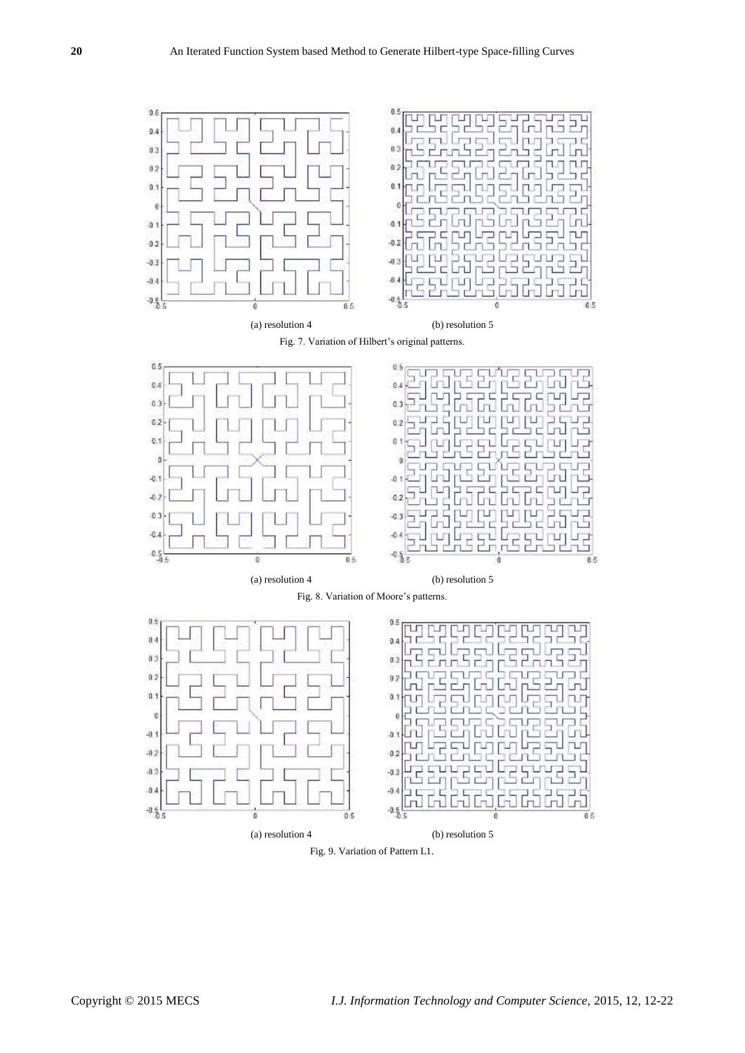

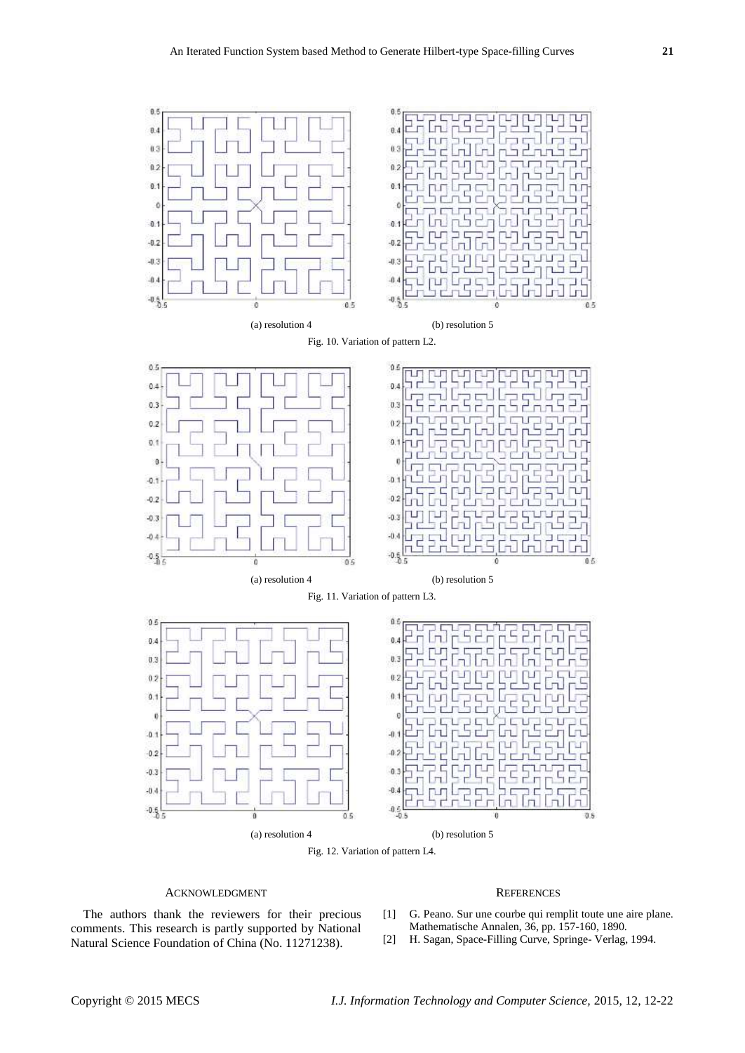

Fig. 12. Variation of pattern L4.

## ACKNOWLEDGMENT

## The authors thank the reviewers for their precious comments. This research is partly supported by National Natural Science Foundation of China (No. 11271238).

## **REFERENCES**

- [1] G. Peano. Sur une courbe qui remplit toute une aire plane. Mathematische Annalen, 36, pp. 157-160, 1890.
- [2] H. Sagan, Space-Filling Curve, Springe- Verlag, 1994.